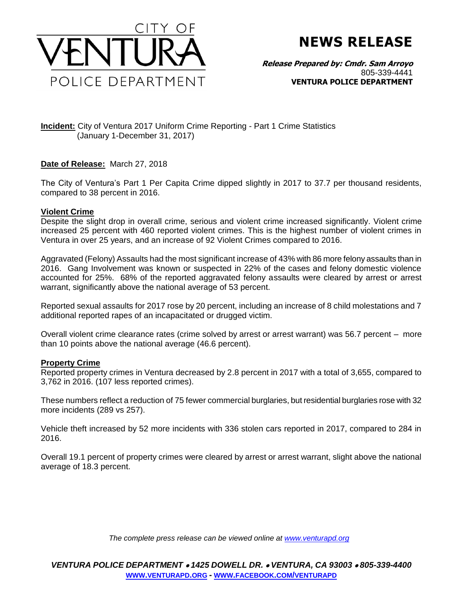

## **NEWS RELEASE**

**Release Prepared by: Cmdr. Sam Arroyo**  805-339-4441 **VENTURA POLICE DEPARTMENT**

**Incident:** City of Ventura 2017 Uniform Crime Reporting - Part 1 Crime Statistics (January 1-December 31, 2017)

## **Date of Release:** March 27, 2018

The City of Ventura's Part 1 Per Capita Crime dipped slightly in 2017 to 37.7 per thousand residents, compared to 38 percent in 2016.

## **Violent Crime**

Despite the slight drop in overall crime, serious and violent crime increased significantly. Violent crime increased 25 percent with 460 reported violent crimes. This is the highest number of violent crimes in Ventura in over 25 years, and an increase of 92 Violent Crimes compared to 2016.

Aggravated (Felony) Assaults had the most significant increase of 43% with 86 more felony assaults than in 2016. Gang Involvement was known or suspected in 22% of the cases and felony domestic violence accounted for 25%. 68% of the reported aggravated felony assaults were cleared by arrest or arrest warrant, significantly above the national average of 53 percent.

Reported sexual assaults for 2017 rose by 20 percent, including an increase of 8 child molestations and 7 additional reported rapes of an incapacitated or drugged victim.

Overall violent crime clearance rates (crime solved by arrest or arrest warrant) was 56.7 percent – more than 10 points above the national average (46.6 percent).

## **Property Crime**

Reported property crimes in Ventura decreased by 2.8 percent in 2017 with a total of 3,655, compared to 3,762 in 2016. (107 less reported crimes).

These numbers reflect a reduction of 75 fewer commercial burglaries, but residential burglaries rose with 32 more incidents (289 vs 257).

Vehicle theft increased by 52 more incidents with 336 stolen cars reported in 2017, compared to 284 in 2016.

Overall 19.1 percent of property crimes were cleared by arrest or arrest warrant, slight above the national average of 18.3 percent.

*The complete press release can be viewed online at [www.venturapd.org](http://www.venturapd.org/)*